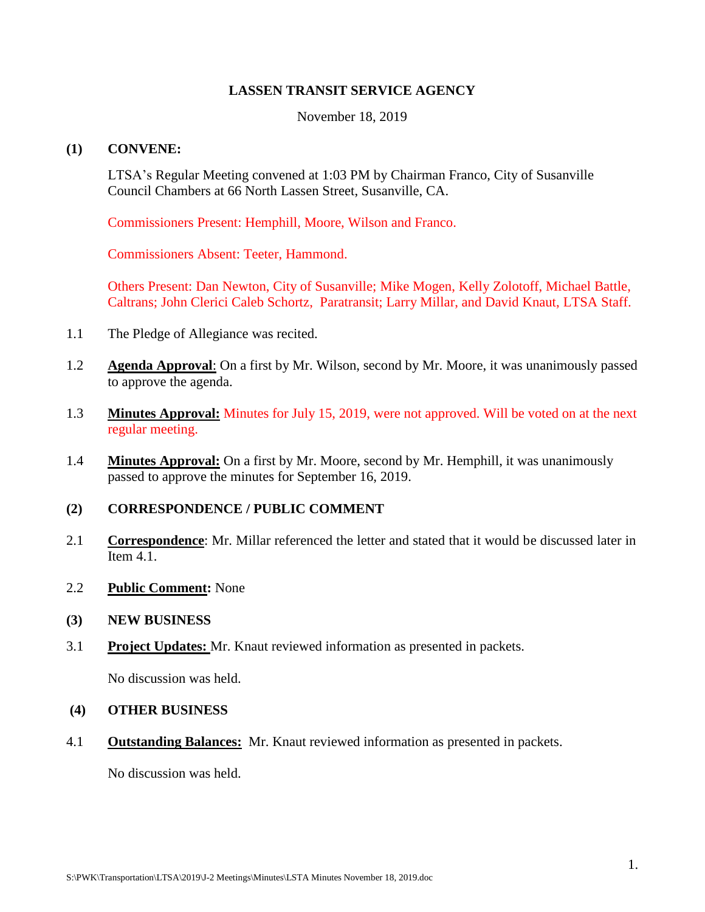# **LASSEN TRANSIT SERVICE AGENCY**

November 18, 2019

# **(1) CONVENE:**

LTSA's Regular Meeting convened at 1:03 PM by Chairman Franco, City of Susanville Council Chambers at 66 North Lassen Street, Susanville, CA.

Commissioners Present: Hemphill, Moore, Wilson and Franco.

Commissioners Absent: Teeter, Hammond.

Others Present: Dan Newton, City of Susanville; Mike Mogen, Kelly Zolotoff, Michael Battle, Caltrans; John Clerici Caleb Schortz, Paratransit; Larry Millar, and David Knaut, LTSA Staff.

- 1.1 The Pledge of Allegiance was recited.
- 1.2 **Agenda Approval**: On a first by Mr. Wilson, second by Mr. Moore, it was unanimously passed to approve the agenda.
- 1.3 **Minutes Approval:** Minutes for July 15, 2019, were not approved. Will be voted on at the next regular meeting.
- 1.4 **Minutes Approval:** On a first by Mr. Moore, second by Mr. Hemphill, it was unanimously passed to approve the minutes for September 16, 2019.

#### **(2) CORRESPONDENCE / PUBLIC COMMENT**

- 2.1 **Correspondence**: Mr. Millar referenced the letter and stated that it would be discussed later in Item 4.1.
- 2.2 **Public Comment:** None

#### **(3) NEW BUSINESS**

3.1 **Project Updates:** Mr. Knaut reviewed information as presented in packets.

No discussion was held.

# **(4) OTHER BUSINESS**

4.1 **Outstanding Balances:** Mr. Knaut reviewed information as presented in packets.

No discussion was held.